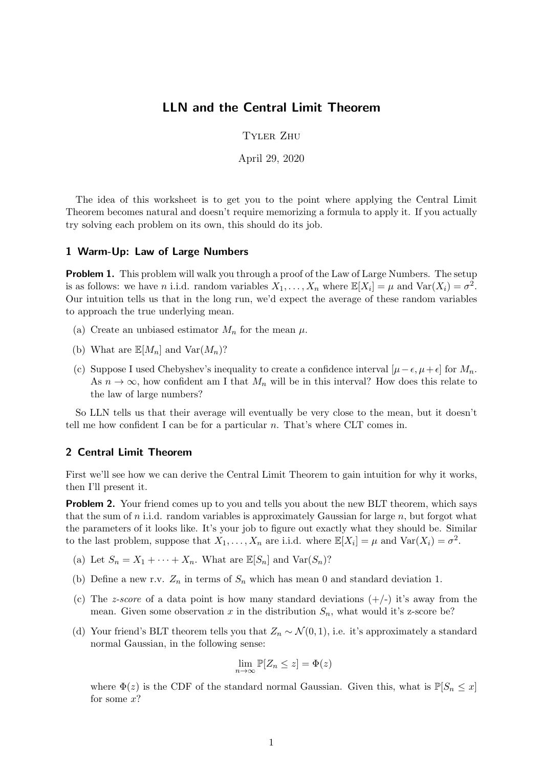## LLN and the Central Limit Theorem

Tyler Zhu

April 29, 2020

The idea of this worksheet is to get you to the point where applying the Central Limit Theorem becomes natural and doesn't require memorizing a formula to apply it. If you actually try solving each problem on its own, this should do its job.

## 1 Warm-Up: Law of Large Numbers

**Problem 1.** This problem will walk you through a proof of the Law of Large Numbers. The setup is as follows: we have *n* i.i.d. random variables  $X_1, \ldots, X_n$  where  $\mathbb{E}[X_i] = \mu$  and  $\text{Var}(X_i) = \sigma^2$ . Our intuition tells us that in the long run, we'd expect the average of these random variables to approach the true underlying mean.

- (a) Create an unbiased estimator  $M_n$  for the mean  $\mu$ .
- (b) What are  $\mathbb{E}[M_n]$  and  $\text{Var}(M_n)$ ?
- (c) Suppose I used Chebyshev's inequality to create a confidence interval  $[\mu \epsilon, \mu + \epsilon]$  for  $M_n$ . As  $n \to \infty$ , how confident am I that  $M_n$  will be in this interval? How does this relate to the law of large numbers?

So LLN tells us that their average will eventually be very close to the mean, but it doesn't tell me how confident I can be for a particular  $n$ . That's where CLT comes in.

## 2 Central Limit Theorem

First we'll see how we can derive the Central Limit Theorem to gain intuition for why it works, then I'll present it.

**Problem 2.** Your friend comes up to you and tells you about the new BLT theorem, which says that the sum of n i.i.d. random variables is approximately Gaussian for large  $n$ , but forgot what the parameters of it looks like. It's your job to figure out exactly what they should be. Similar to the last problem, suppose that  $X_1, \ldots, X_n$  are i.i.d. where  $\mathbb{E}[X_i] = \mu$  and  $\text{Var}(X_i) = \sigma^2$ .

- (a) Let  $S_n = X_1 + \cdots + X_n$ . What are  $\mathbb{E}[S_n]$  and  $\text{Var}(S_n)$ ?
- (b) Define a new r.v.  $Z_n$  in terms of  $S_n$  which has mean 0 and standard deviation 1.
- (c) The *z*-score of a data point is how many standard deviations  $(+/-)$  it's away from the mean. Given some observation x in the distribution  $S_n$ , what would it's z-score be?
- (d) Your friend's BLT theorem tells you that  $Z_n \sim \mathcal{N}(0, 1)$ , i.e. it's approximately a standard normal Gaussian, in the following sense:

$$
\lim_{n \to \infty} \mathbb{P}[Z_n \leq z] = \Phi(z)
$$

where  $\Phi(z)$  is the CDF of the standard normal Gaussian. Given this, what is  $\mathbb{P}[S_n \leq x]$ for some  $x$ ?